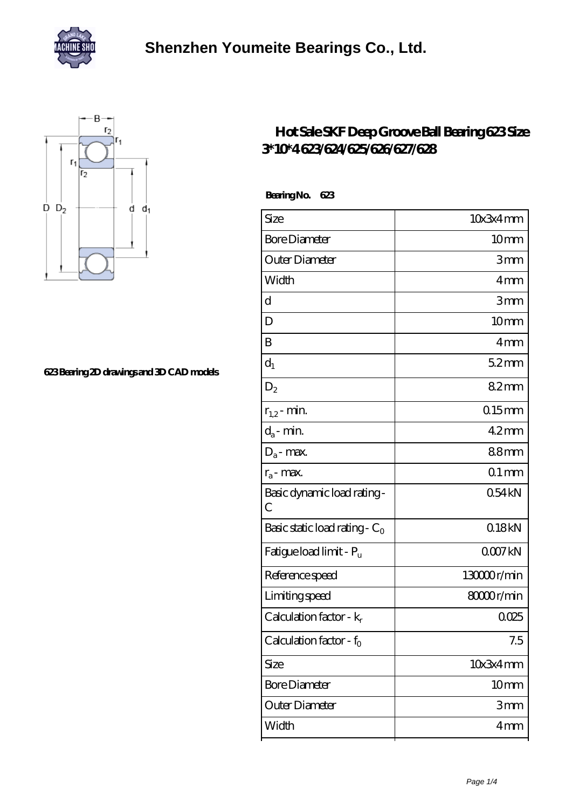



## **[623 Bearing 2D drawings and 3D CAD models](https://homebox-tm.com/pic-805693.html)**

## **[Hot Sale SKF Deep Groove Ball Bearing 623 Size](https://homebox-tm.com/skf-623-bearing/) [3\\*10\\*4 623/624/625/626/627/628](https://homebox-tm.com/skf-623-bearing/)**

| Size                             | 10x3x4mm           |
|----------------------------------|--------------------|
| <b>Bore Diameter</b>             | 10 <sub>mm</sub>   |
| Outer Diameter                   | 3mm                |
| Width                            | 4mm                |
| $\mathbf d$                      | 3mm                |
| D                                | 10 <sub>mm</sub>   |
| B                                | 4 <sub>mm</sub>    |
| $d_1$                            | $52$ <sub>mm</sub> |
| $D_2$                            | 82mm               |
| $r_{1,2}$ - min.                 | $0.15$ mm          |
| $d_a$ - min.                     | $42$ mm            |
| $D_a$ - max.                     | 88mm               |
| $r_a$ - max.                     | $01$ mm            |
| Basic dynamic load rating-<br>C  | 054kN              |
| Basic static load rating - $C_0$ | 018kN              |
| Fatigue load limit - Pu          | 0007kN             |
| Reference speed                  | 13000r/min         |
| Limiting speed                   | 8000r/min          |
| Calculation factor - $k_r$       | 0.025              |
| Calculation factor - $f_0$       | 7.5                |
| Size                             | 10x3x4mm           |
| <b>Bore Diameter</b>             | 10 <sub>mm</sub>   |
| Outer Diameter                   | 3mm                |
| Width                            | 4 <sub>mm</sub>    |
|                                  |                    |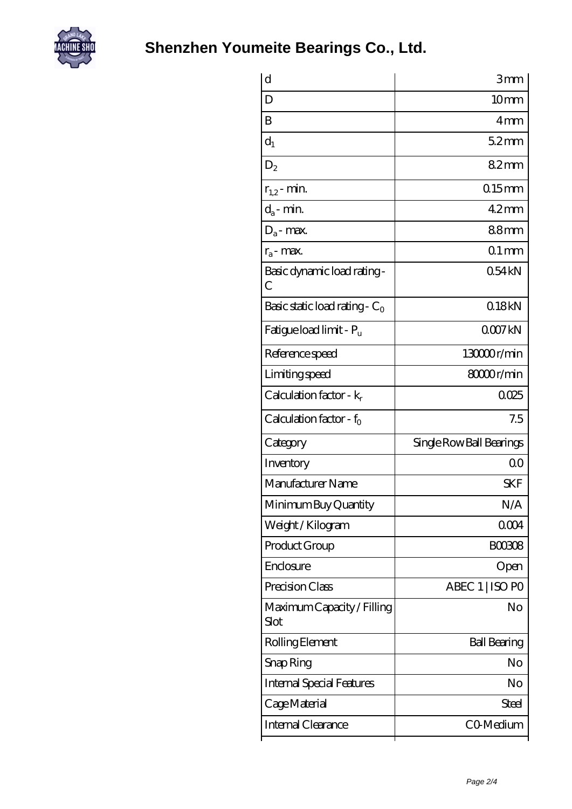

| d                                  | 3mm                      |
|------------------------------------|--------------------------|
| D                                  | 10mm                     |
| B                                  | 4mm                      |
| $d_1$                              | $52$ mm                  |
| $D_2$                              | 82mm                     |
| $r_{1,2}$ - min.                   | $0.15$ mm                |
| $d_a$ - min.                       | $42$ mm                  |
| $D_a$ - max.                       | 88mm                     |
| $r_a$ - max.                       | $01$ mm                  |
| Basic dynamic load rating -<br>С   | 054kN                    |
| Basic static load rating - $C_0$   | 018kN                    |
| Fatigue load limit - Pu            | QOO7kN                   |
| Reference speed                    | 13000r/min               |
| Limiting speed                     | 8000r/min                |
| Calculation factor - $k_r$         | 0025                     |
|                                    |                          |
| Calculation factor - $f_0$         | 7.5                      |
| Category                           | Single Row Ball Bearings |
| Inventory                          | 0 <sup>0</sup>           |
| Manufacturer Name                  | SKF                      |
| Minimum Buy Quantity               | N/A                      |
| Weight / Kilogram                  | 0004                     |
| Product Group                      | <b>BOO308</b>            |
| Enclosure                          | Open                     |
| Precision Class                    | ABEC 1   ISO PO          |
| Maximum Capacity / Filling<br>Slot | No                       |
| Rolling Element                    | <b>Ball Bearing</b>      |
| Snap Ring                          | No                       |
| <b>Internal Special Features</b>   | No                       |
| Cage Material                      | Steel                    |
| Internal Clearance                 | CO-Medium                |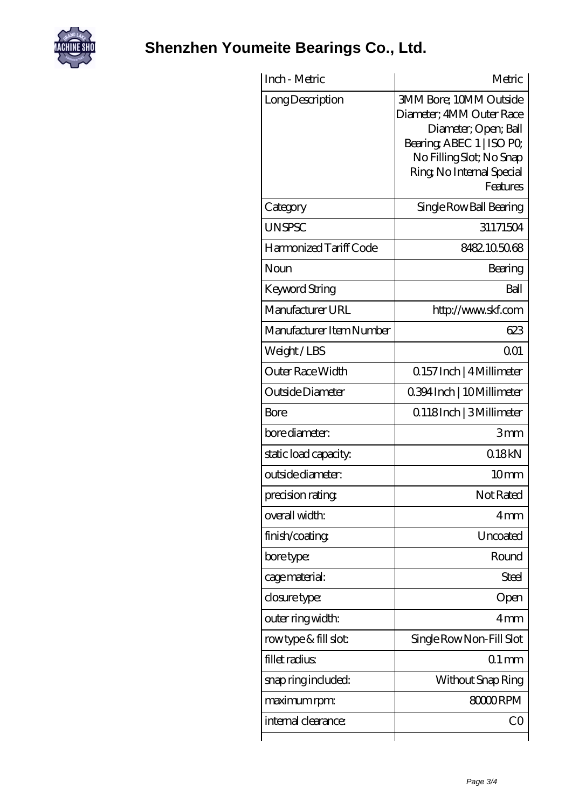

## **[Shenzhen Youmeite Bearings Co., Ltd.](https://homebox-tm.com)**

| Inch - Metric            | Metric                                                                                                                                                                              |
|--------------------------|-------------------------------------------------------------------------------------------------------------------------------------------------------------------------------------|
| Long Description         | <b>3MM Bore: 10MM Outside</b><br>Diameter; 4MM Outer Race<br>Diameter; Open; Ball<br>Bearing, ABEC 1   ISO PO,<br>No Filling Slot; No Snap<br>Ring, No Internal Special<br>Features |
| Category                 | Single Row Ball Bearing                                                                                                                                                             |
| <b>UNSPSC</b>            | 31171504                                                                                                                                                                            |
| Harmonized Tariff Code   | 8482105068                                                                                                                                                                          |
| Noun                     | Bearing                                                                                                                                                                             |
| Keyword String           | Ball                                                                                                                                                                                |
| Manufacturer URL         | http://www.skf.com                                                                                                                                                                  |
| Manufacturer Item Number | 623                                                                                                                                                                                 |
| Weight/LBS               | 0 <sub>01</sub>                                                                                                                                                                     |
| Outer Race Width         | 0.157 Inch   4 Millimeter                                                                                                                                                           |
| Outside Diameter         | 0.394 Inch   10 Millimeter                                                                                                                                                          |
| Bore                     | Q118Inch   3Millimeter                                                                                                                                                              |
| bore diameter:           | 3mm                                                                                                                                                                                 |
| static load capacity.    | 018kN                                                                                                                                                                               |
| outside diameter:        | 10 <sub>mm</sub>                                                                                                                                                                    |
| precision rating         | Not Rated                                                                                                                                                                           |
| overall width:           | 4mm                                                                                                                                                                                 |
| finish/coating           | Uncoated                                                                                                                                                                            |
| bore type:               | Round                                                                                                                                                                               |
| cage material:           | Steel                                                                                                                                                                               |
| closure type:            | Open                                                                                                                                                                                |
| outer ring width:        | 4mm                                                                                                                                                                                 |
| rowtype & fill slot:     | Single Row Non-Fill Slot                                                                                                                                                            |
| fillet radius            | $01$ mm                                                                                                                                                                             |
| snap ring included:      | Without Snap Ring                                                                                                                                                                   |
| maximum rpm:             | 80000RPM                                                                                                                                                                            |
| internal clearance:      | CO                                                                                                                                                                                  |
|                          |                                                                                                                                                                                     |